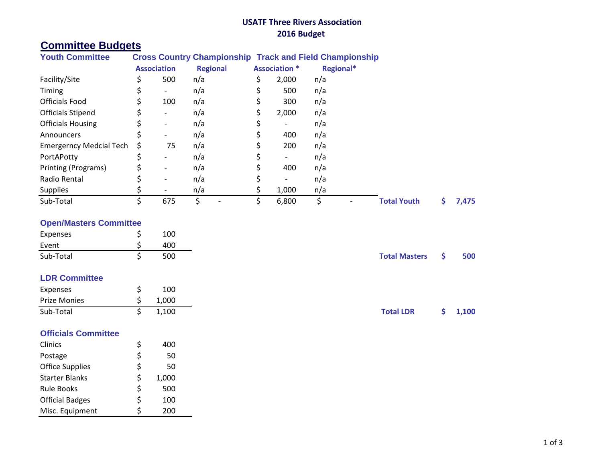# **USATF Three Rivers Association 2016 Budget**

# **Committee Budgets**

| <b>Youth Committee</b>         | <b>Cross Country Championship Track and Field Championship</b> |                          |                 |                      |                          |           |  |                    |  |       |
|--------------------------------|----------------------------------------------------------------|--------------------------|-----------------|----------------------|--------------------------|-----------|--|--------------------|--|-------|
|                                | <b>Association</b>                                             |                          | <b>Regional</b> | <b>Association *</b> |                          | Regional* |  |                    |  |       |
| Facility/Site                  |                                                                | 500                      | n/a             |                      | 2,000                    | n/a       |  |                    |  |       |
| Timing                         |                                                                | $\overline{\phantom{a}}$ | n/a             |                      | 500                      | n/a       |  |                    |  |       |
| <b>Officials Food</b>          |                                                                | 100                      | n/a             |                      | 300                      | n/a       |  |                    |  |       |
| <b>Officials Stipend</b>       |                                                                |                          | n/a             |                      | 2,000                    | n/a       |  |                    |  |       |
| <b>Officials Housing</b>       |                                                                |                          | n/a             |                      | $\overline{\phantom{a}}$ | n/a       |  |                    |  |       |
| Announcers                     |                                                                |                          | n/a             |                      | 400                      | n/a       |  |                    |  |       |
| <b>Emergerncy Medcial Tech</b> | S                                                              | 75                       | n/a             |                      | 200                      | n/a       |  |                    |  |       |
| PortAPotty                     |                                                                |                          | n/a             |                      | $\overline{\phantom{a}}$ | n/a       |  |                    |  |       |
| Printing (Programs)            |                                                                |                          | n/a             |                      | 400                      | n/a       |  |                    |  |       |
| Radio Rental                   |                                                                |                          | n/a             |                      |                          | n/a       |  |                    |  |       |
| <b>Supplies</b>                |                                                                |                          | n/a             |                      | 1,000                    | n/a       |  |                    |  |       |
| Sub-Total                      |                                                                | 675                      |                 |                      | 6,800                    | \$        |  | <b>Total Youth</b> |  | 7,475 |

## **Open/Masters Committee**

| Expenses  | 100 |
|-----------|-----|
| Event     | 400 |
| Sub-Total | 500 |

# **LDR Committee**

| Expenses     | 100   |                  |         |
|--------------|-------|------------------|---------|
| Prize Monies | 1,000 |                  |         |
| Sub-Total    | 1,100 | <b>Total LDR</b> | \$1,100 |

### **Officials Committee**

| Clinics                | \$ | 400   |
|------------------------|----|-------|
| Postage                | \$ | 50    |
| <b>Office Supplies</b> | \$ | 50    |
| <b>Starter Blanks</b>  | \$ | 1,000 |
| <b>Rule Books</b>      | \$ | 500   |
| <b>Official Badges</b> | Ś  | 100   |
| Misc. Equipment        | Ś  | 200   |

Sub-Total \$ 500 **Total Masters \$ 500**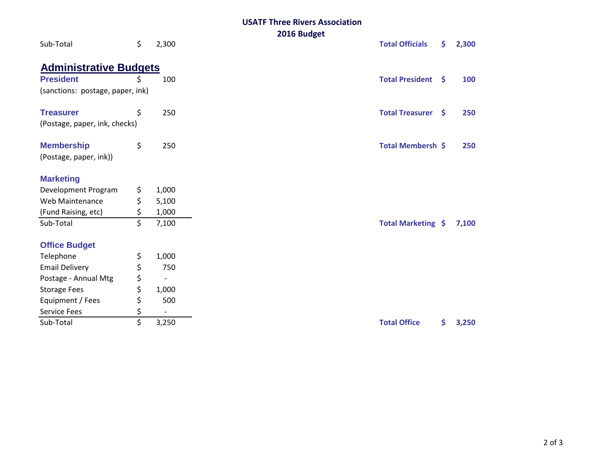#### **USATF Three Rivers Association 2016 Budget**

| Sub-Total                        | \$ | 2,300 | ZUIU DUUKEL<br><b>Total Officials</b> | \$           | 2,300 |
|----------------------------------|----|-------|---------------------------------------|--------------|-------|
| <b>Administrative Budgets</b>    |    |       |                                       |              |       |
| <b>President</b>                 | Ś. | 100   | <b>Total President</b>                | $\mathsf{S}$ | 100   |
| (sanctions: postage, paper, ink) |    |       |                                       |              |       |
| <b>Treasurer</b>                 | \$ | 250   | <b>Total Treasurer</b>                | -S           | 250   |
| (Postage, paper, ink, checks)    |    |       |                                       |              |       |
| <b>Membership</b>                | \$ | 250   | Total Membersh \$                     |              | 250   |
| (Postage, paper, ink))           |    |       |                                       |              |       |
| <b>Marketing</b>                 |    |       |                                       |              |       |
| Development Program              | \$ | 1,000 |                                       |              |       |
| Web Maintenance                  | \$ | 5,100 |                                       |              |       |
| (Fund Raising, etc)              | \$ | 1,000 |                                       |              |       |
| Sub-Total                        | \$ | 7,100 | Total Marketing \$                    |              | 7,100 |
| <b>Office Budget</b>             |    |       |                                       |              |       |
| Telephone                        | \$ | 1,000 |                                       |              |       |
| <b>Email Delivery</b>            | \$ | 750   |                                       |              |       |
| Postage - Annual Mtg             | \$ |       |                                       |              |       |
| <b>Storage Fees</b>              | \$ | 1,000 |                                       |              |       |
| Equipment / Fees                 | \$ | 500   |                                       |              |       |
| <b>Service Fees</b>              | \$ |       |                                       |              |       |
| Sub-Total                        | \$ | 3,250 | <b>Total Office</b>                   | \$.          | 3,250 |